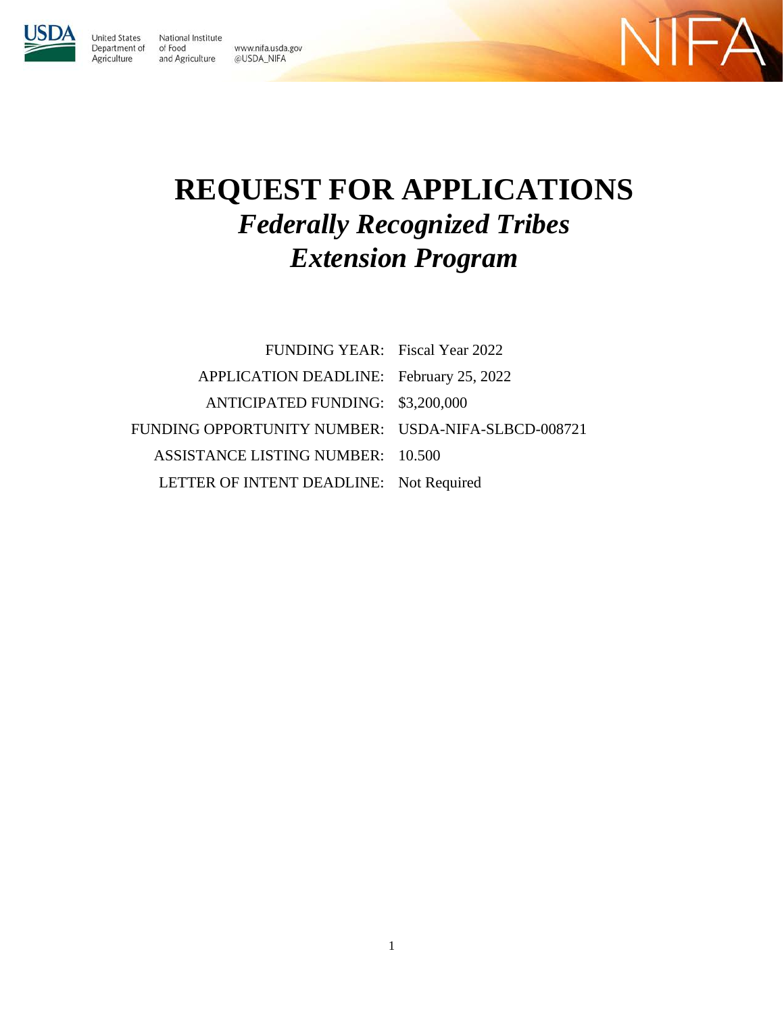**United States** Department of Agriculture

National Institute of Food www.nifa.usda.gov and Agriculture @USDA\_NIFA



# **REQUEST FOR APPLICATIONS** *Federally Recognized Tribes Extension Program*

| FUNDING YEAR: Fiscal Year 2022                     |  |
|----------------------------------------------------|--|
| APPLICATION DEADLINE: February 25, 2022            |  |
| ANTICIPATED FUNDING: \$3,200,000                   |  |
| FUNDING OPPORTUNITY NUMBER: USDA-NIFA-SLBCD-008721 |  |
| <b>ASSISTANCE LISTING NUMBER: 10.500</b>           |  |
| LETTER OF INTENT DEADLINE: Not Required            |  |

1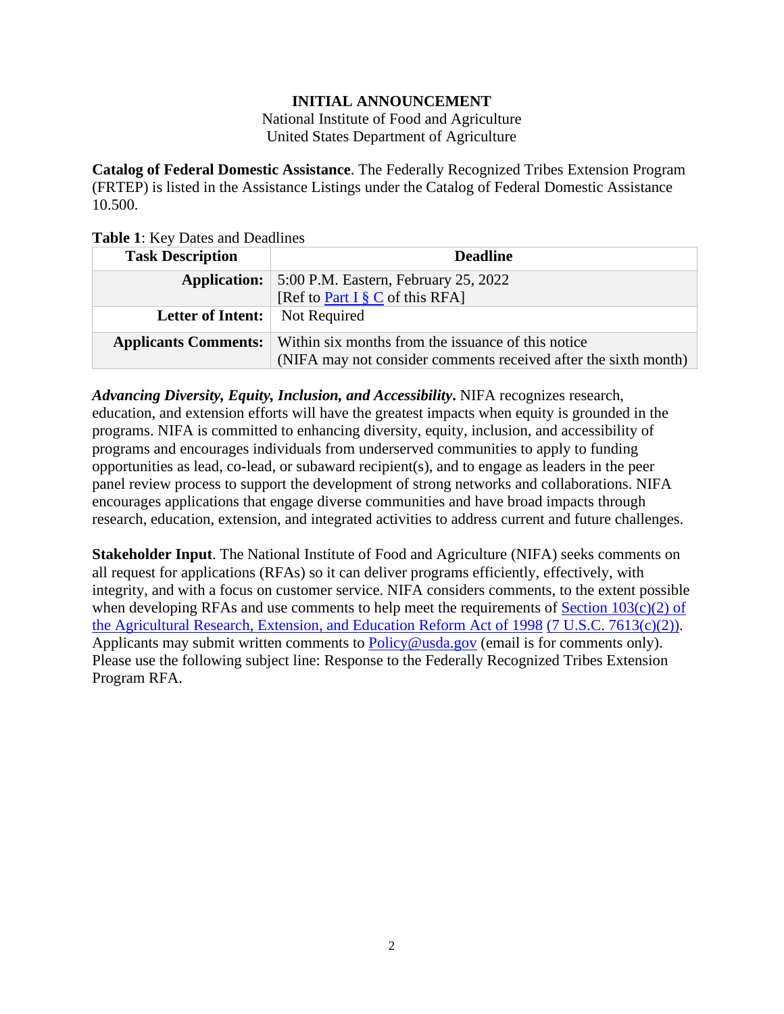#### **INITIAL ANNOUNCEMENT**

National Institute of Food and Agriculture United States Department of Agriculture

<span id="page-1-0"></span>**Catalog of Federal Domestic Assistance**. The Federally Recognized Tribes Extension Program (FRTEP) is listed in the Assistance Listings under the Catalog of Federal Domestic Assistance 10.500.

<span id="page-1-1"></span>**Table 1**: Key Dates and Deadlines

| <b>Task Description</b>     | <b>Deadline</b>                                                 |  |
|-----------------------------|-----------------------------------------------------------------|--|
| <b>Application:</b>         | 5:00 P.M. Eastern, February 25, 2022                            |  |
|                             | [Ref to Part I $\S$ C of this RFA]                              |  |
| Letter of Intent:           | Not Required                                                    |  |
| <b>Applicants Comments:</b> | Within six months from the issuance of this notice              |  |
|                             | (NIFA may not consider comments received after the sixth month) |  |

*Advancing Diversity, Equity, Inclusion, and Accessibility***.** NIFA recognizes research, education, and extension efforts will have the greatest impacts when equity is grounded in the programs. NIFA is committed to enhancing diversity, equity, inclusion, and accessibility of programs and encourages individuals from underserved communities to apply to funding opportunities as lead, co-lead, or subaward recipient(s), and to engage as leaders in the peer panel review process to support the development of strong networks and collaborations. NIFA encourages applications that engage diverse communities and have broad impacts through research, education, extension, and integrated activities to address current and future challenges.

**Stakeholder Input**. The National Institute of Food and Agriculture (NIFA) seeks comments on all request for applications (RFAs) so it can deliver programs efficiently, effectively, with integrity, and with a focus on customer service. NIFA considers comments, to the extent possible when developing RFAs and use comments to help meet the requirements of Section  $103(c)(2)$  of [the Agricultural Research, Extension, and Education Reform Act of 1998](https://nifa.usda.gov/resource/agricultural-research-extension-and-education-reform-act-1998) [\(7 U.S.C. 7613\(c\)\(2\)\).](https://uscode.house.gov/view.xhtml?req=(title:7%20section:7613%20edition:prelim)%20OR%20(granuleid:USC-prelim-title7-section7613)&f=treesort&edition=prelim&num=0&jumpTo=true) Applicants may submit written comments to [Policy@usda.gov](mailto:Policy@nifa.usda.gov) (email is for comments only). Please use the following subject line: Response to the Federally Recognized Tribes Extension Program RFA.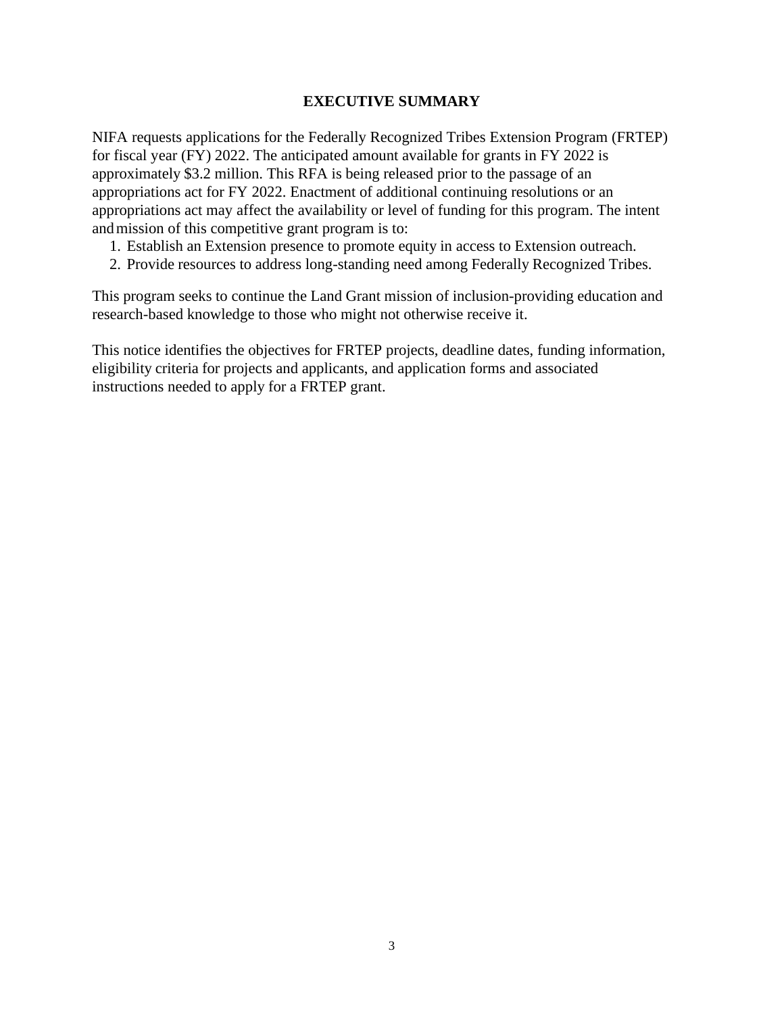#### **EXECUTIVE SUMMARY**

<span id="page-2-0"></span>NIFA requests applications for the Federally Recognized Tribes Extension Program (FRTEP) for fiscal year (FY) 2022. The anticipated amount available for grants in FY 2022 is approximately \$3.2 million. This RFA is being released prior to the passage of an appropriations act for FY 2022. Enactment of additional continuing resolutions or an appropriations act may affect the availability or level of funding for this program. The intent and mission of this competitive grant program is to:

- 1. Establish an Extension presence to promote equity in access to Extension outreach.
- 2. Provide resources to address long-standing need among Federally Recognized Tribes.

This program seeks to continue the Land Grant mission of inclusion-providing education and research-based knowledge to those who might not otherwise receive it.

This notice identifies the objectives for FRTEP projects, deadline dates, funding information, eligibility criteria for projects and applicants, and application forms and associated instructions needed to apply for a FRTEP grant.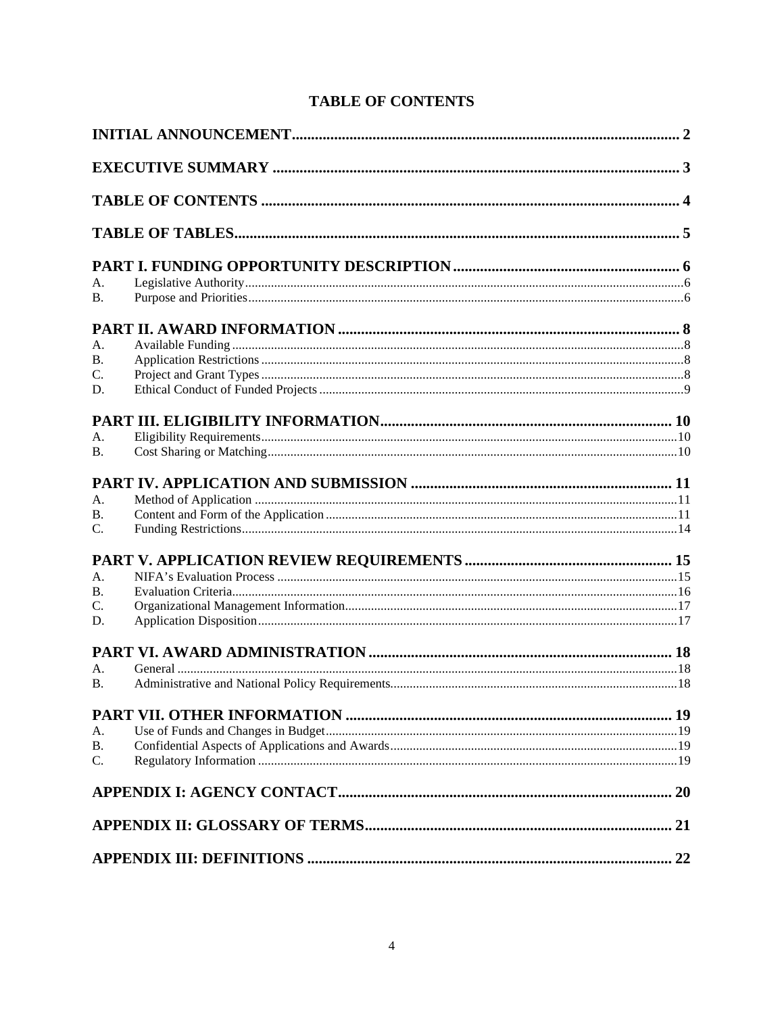|  | <b>TABLE OF CONTENTS</b> |
|--|--------------------------|
|--|--------------------------|

<span id="page-3-0"></span>

| A.             |  |
|----------------|--|
| <b>B.</b>      |  |
|                |  |
| A.             |  |
| <b>B.</b>      |  |
| C.             |  |
| D.             |  |
|                |  |
|                |  |
| A.<br>B.       |  |
|                |  |
|                |  |
| A.             |  |
| В.             |  |
| C.             |  |
|                |  |
| A.             |  |
| <b>B.</b>      |  |
| C.             |  |
| D.             |  |
|                |  |
|                |  |
| A.             |  |
| $\mathbf{B}$ . |  |
|                |  |
| А.             |  |
| <b>B.</b>      |  |
| C.             |  |
|                |  |
|                |  |
|                |  |
|                |  |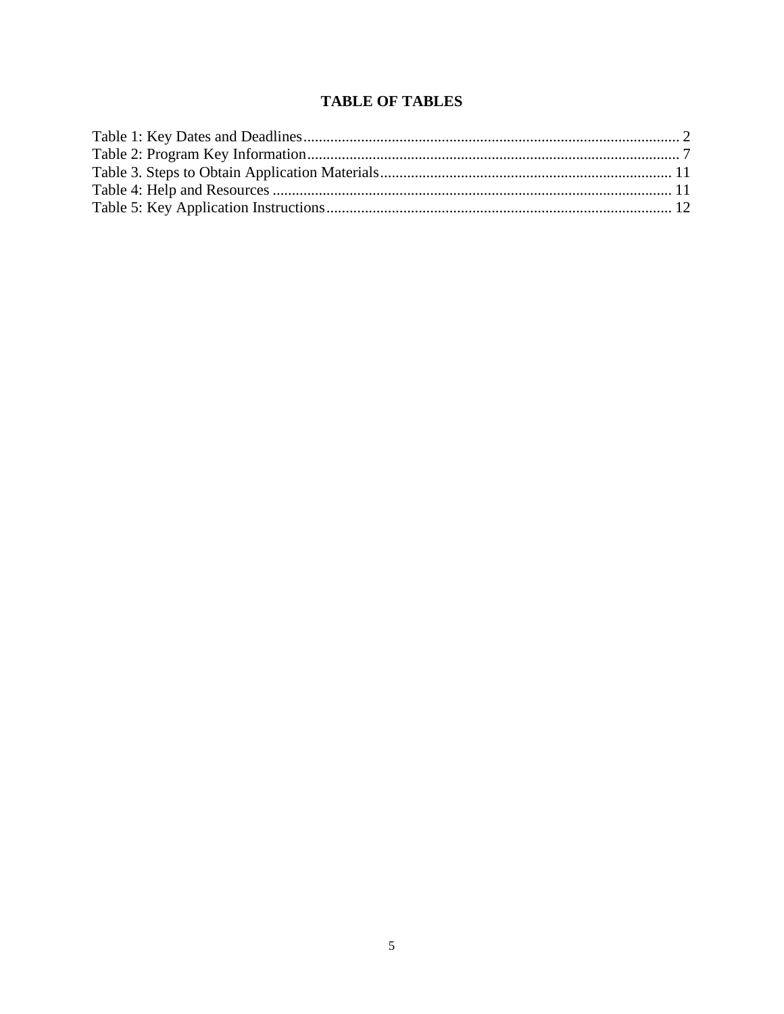# **TABLE OF TABLES**

<span id="page-4-0"></span>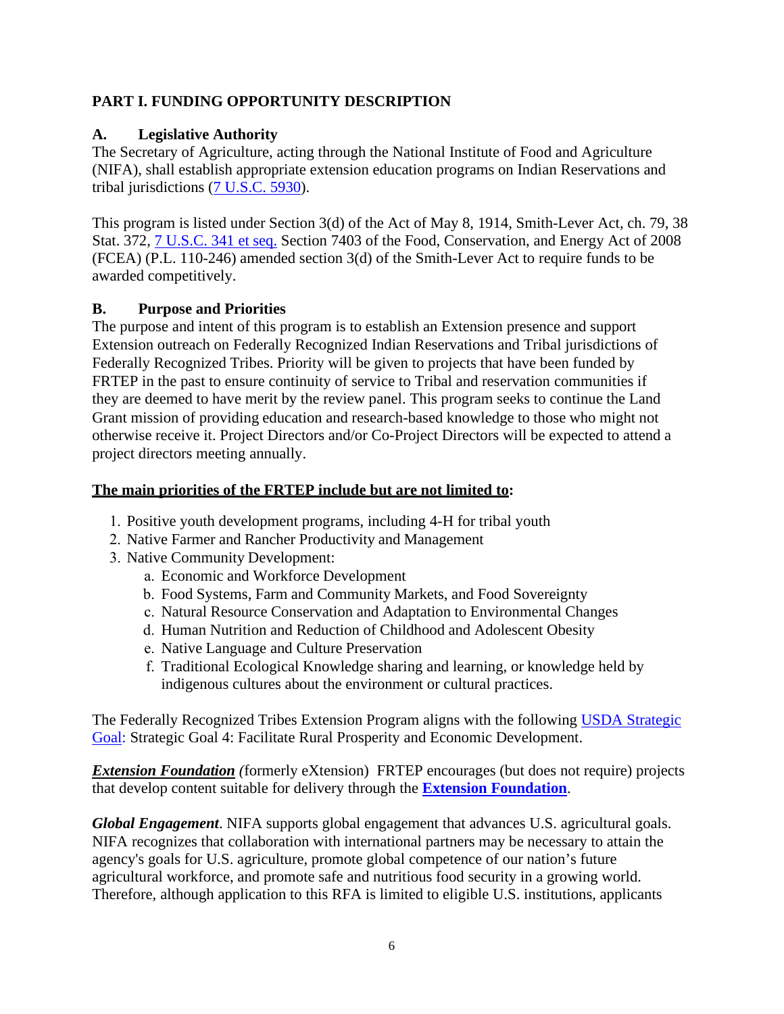## <span id="page-5-0"></span>**PART I. FUNDING OPPORTUNITY DESCRIPTION**

## <span id="page-5-1"></span>**A. Legislative Authority**

The Secretary of Agriculture, acting through the National Institute of Food and Agriculture (NIFA), shall establish appropriate extension education programs on Indian Reservations and tribal jurisdictions [\(7 U.S.C. 5930\)](https://uscode.house.gov/view.xhtml?req=(title:7%20section:5930%20edition:prelim)%20OR%20(granuleid:USC-prelim-title7-section5930)&f=treesort&edition=prelim&num=0&jumpTo=true).

This program is listed under Section 3(d) of the Act of May 8, 1914, Smith-Lever Act, ch. 79, 38 Stat. 372, [7 U.S.C. 341 et seq.](https://uscode.house.gov/view.xhtml?req=(title:7%20section:341%20edition:prelim)%20OR%20(granuleid:USC-prelim-title7-section341)&f=treesort&edition=prelim&num=0&jumpTo=true) Section 7403 of the Food, Conservation, and Energy Act of 2008 (FCEA) (P.L. 110-246) amended section 3(d) of the Smith-Lever Act to require funds to be awarded competitively.

## <span id="page-5-2"></span>**B. Purpose and Priorities**

The purpose and intent of this program is to establish an Extension presence and support Extension outreach on Federally Recognized Indian Reservations and Tribal jurisdictions of Federally Recognized Tribes. Priority will be given to projects that have been funded by FRTEP in the past to ensure continuity of service to Tribal and reservation communities if they are deemed to have merit by the review panel. This program seeks to continue the Land Grant mission of providing education and research-based knowledge to those who might not otherwise receive it. Project Directors and/or Co-Project Directors will be expected to attend a project directors meeting annually.

## **The main priorities of the FRTEP include but are not limited to:**

- 1. Positive youth development programs, including 4-H for tribal youth
- 2. Native Farmer and Rancher Productivity and Management
- 3. Native Community Development:
	- a. Economic and Workforce Development
	- b. Food Systems, Farm and Community Markets, and Food Sovereignty
	- c. Natural Resource Conservation and Adaptation to Environmental Changes
	- d. Human Nutrition and Reduction of Childhood and Adolescent Obesity
	- e. Native Language and Culture Preservation
	- f. Traditional Ecological Knowledge sharing and learning, or knowledge held by indigenous cultures about the environment or cultural practices.

The Federally Recognized Tribes Extension Program aligns with the following [USDA Strategic](https://www.usda.gov/sites/default/files/documents/usda-strategic-plan-2018-2022.pdf)  [Goal: S](https://www.usda.gov/sites/default/files/documents/usda-strategic-plan-2018-2022.pdf)trategic Goal 4: Facilitate Rural Prosperity and Economic Development.

*[Extension Foundation](http://www.extension.org/) (*formerly eXtension) FRTEP encourages (but does not require) projects that develop content suitable for delivery through the **[Extension Foundation](https://extension.org/)**.

*Global Engagement*. NIFA supports global engagement that advances U.S. agricultural goals. NIFA recognizes that collaboration with international partners may be necessary to attain the agency's goals for U.S. agriculture, promote global competence of our nation's future agricultural workforce, and promote safe and nutritious food security in a growing world. Therefore, although application to this RFA is limited to eligible U.S. institutions, applicants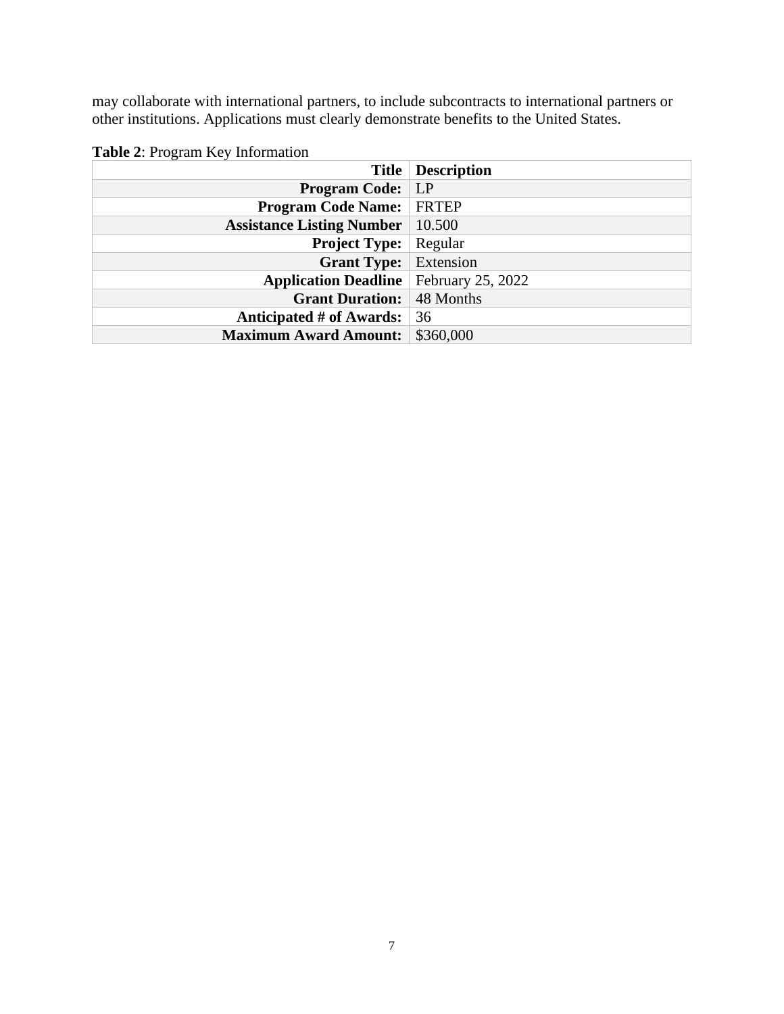may collaborate with international partners, to include subcontracts to international partners or other institutions. Applications must clearly demonstrate benefits to the United States.

|                                                 | <b>Title   Description</b> |
|-------------------------------------------------|----------------------------|
| <b>Program Code:</b> LP                         |                            |
| <b>Program Code Name:</b>                       | <b>FRTEP</b>               |
| <b>Assistance Listing Number</b>                | 10.500                     |
| <b>Project Type:</b>                            | Regular                    |
| <b>Grant Type:</b>                              | Extension                  |
| <b>Application Deadline</b>   February 25, 2022 |                            |
| <b>Grant Duration:</b>                          | 48 Months                  |
| Anticipated # of Awards:                        | 36                         |
| <b>Maximum Award Amount:</b>                    | \$360,000                  |

<span id="page-6-0"></span>

|  | Table 2: Program Key Information |
|--|----------------------------------|
|--|----------------------------------|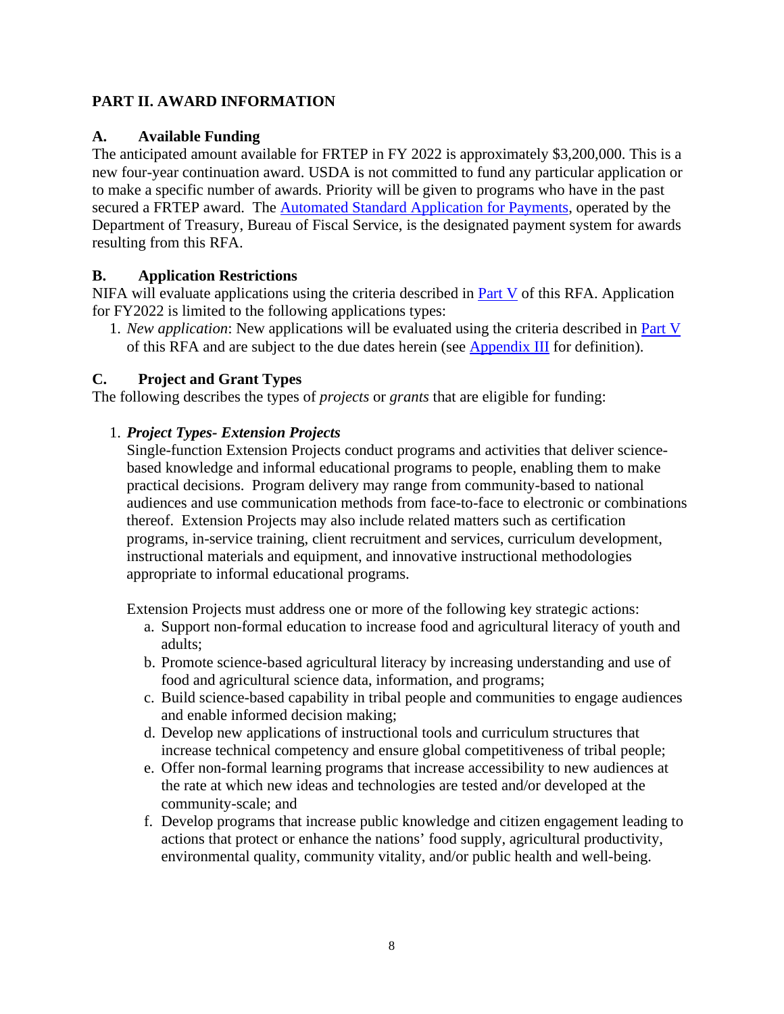## <span id="page-7-0"></span>**PART II. AWARD INFORMATION**

#### <span id="page-7-1"></span>**A. Available Funding**

The anticipated amount available for FRTEP in FY 2022 is approximately \$3,200,000. This is a new four-year continuation award. USDA is not committed to fund any particular application or to make a specific number of awards. Priority will be given to programs who have in the past secured a FRTEP award. The **Automated Standard Application for Payments**, operated by the Department of Treasury, Bureau of Fiscal Service, is the designated payment system for awards resulting from this RFA.

## <span id="page-7-2"></span>**B. Application Restrictions**

NIFA will evaluate applications using the criteria described in **Part V** of this RFA. Application for FY2022 is limited to the following applications types:

1. *New application*: New applications will be evaluated using the criteria described in [Part V](#page-13-1) of this RFA and are subject to the due dates herein (see [Appendix III](#page-21-0) for definition).

## <span id="page-7-3"></span>**C. Project and Grant Types**

The following describes the types of *projects* or *grants* that are eligible for funding:

## 1. *Project Types- Extension Projects*

Single-function Extension Projects conduct programs and activities that deliver sciencebased knowledge and informal educational programs to people, enabling them to make practical decisions. Program delivery may range from community-based to national audiences and use communication methods from face-to-face to electronic or combinations thereof. Extension Projects may also include related matters such as certification programs, in-service training, client recruitment and services, curriculum development, instructional materials and equipment, and innovative instructional methodologies appropriate to informal educational programs.

Extension Projects must address one or more of the following key strategic actions:

- a. Support non-formal education to increase food and agricultural literacy of youth and adults;
- b. Promote science-based agricultural literacy by increasing understanding and use of food and agricultural science data, information, and programs;
- c. Build science-based capability in tribal people and communities to engage audiences and enable informed decision making;
- d. Develop new applications of instructional tools and curriculum structures that increase technical competency and ensure global competitiveness of tribal people;
- e. Offer non-formal learning programs that increase accessibility to new audiences at the rate at which new ideas and technologies are tested and/or developed at the community-scale; and
- f. Develop programs that increase public knowledge and citizen engagement leading to actions that protect or enhance the nations' food supply, agricultural productivity, environmental quality, community vitality, and/or public health and well-being.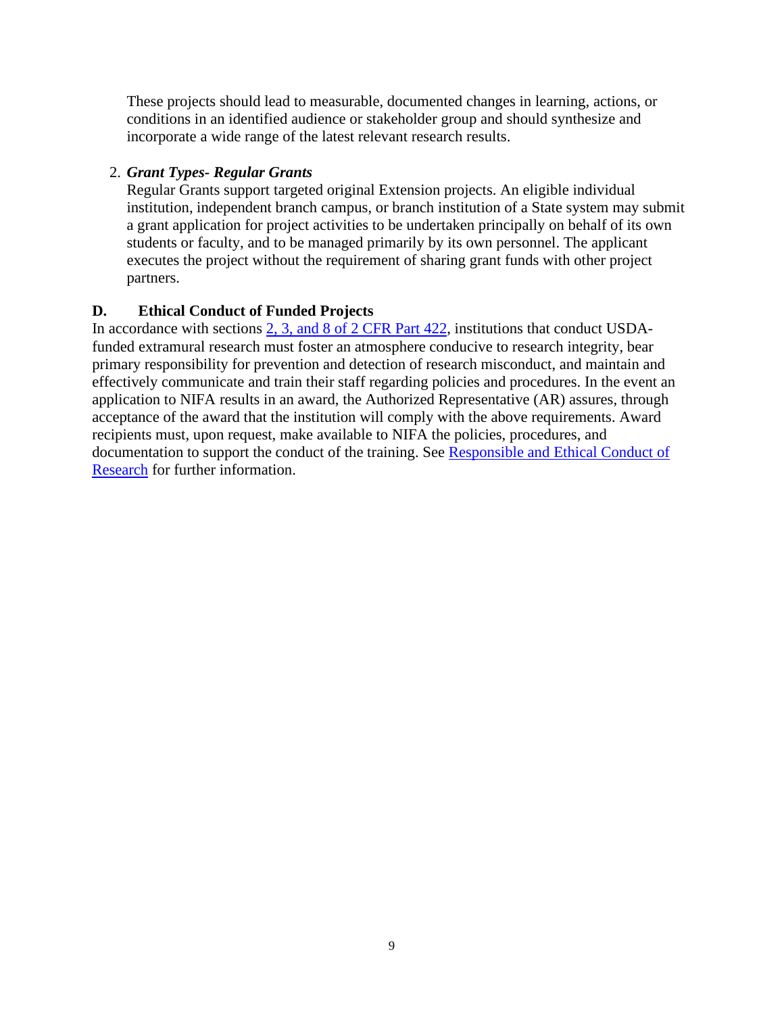These projects should lead to measurable, documented changes in learning, actions, or conditions in an identified audience or stakeholder group and should synthesize and incorporate a wide range of the latest relevant research results.

## 2. *Grant Types- Regular Grants*

Regular Grants support targeted original Extension projects. An eligible individual institution, independent branch campus, or branch institution of a State system may submit a grant application for project activities to be undertaken principally on behalf of its own students or faculty, and to be managed primarily by its own personnel. The applicant executes the project without the requirement of sharing grant funds with other project partners.

## <span id="page-8-0"></span>**D. Ethical Conduct of Funded Projects**

In accordance with sections [2, 3, and 8 of 2 CFR Part 422,](https://www.ecfr.gov/cgi-bin/text-idx?SID=3f96ab05cf1fc2d2713e5e46755e7696&mc=true&node=pt2.1.422&rgn=div5#se2.1.422_12) institutions that conduct USDAfunded extramural research must foster an atmosphere conducive to research integrity, bear primary responsibility for prevention and detection of research misconduct, and maintain and effectively communicate and train their staff regarding policies and procedures. In the event an application to NIFA results in an award, the Authorized Representative (AR) assures, through acceptance of the award that the institution will comply with the above requirements. Award recipients must, upon request, make available to NIFA the policies, procedures, and documentation to support the conduct of the training. See [Responsible and Ethical Conduct of](https://nifa.usda.gov/responsible-and-ethical-conduct-research)  [Research](https://nifa.usda.gov/responsible-and-ethical-conduct-research) for further information.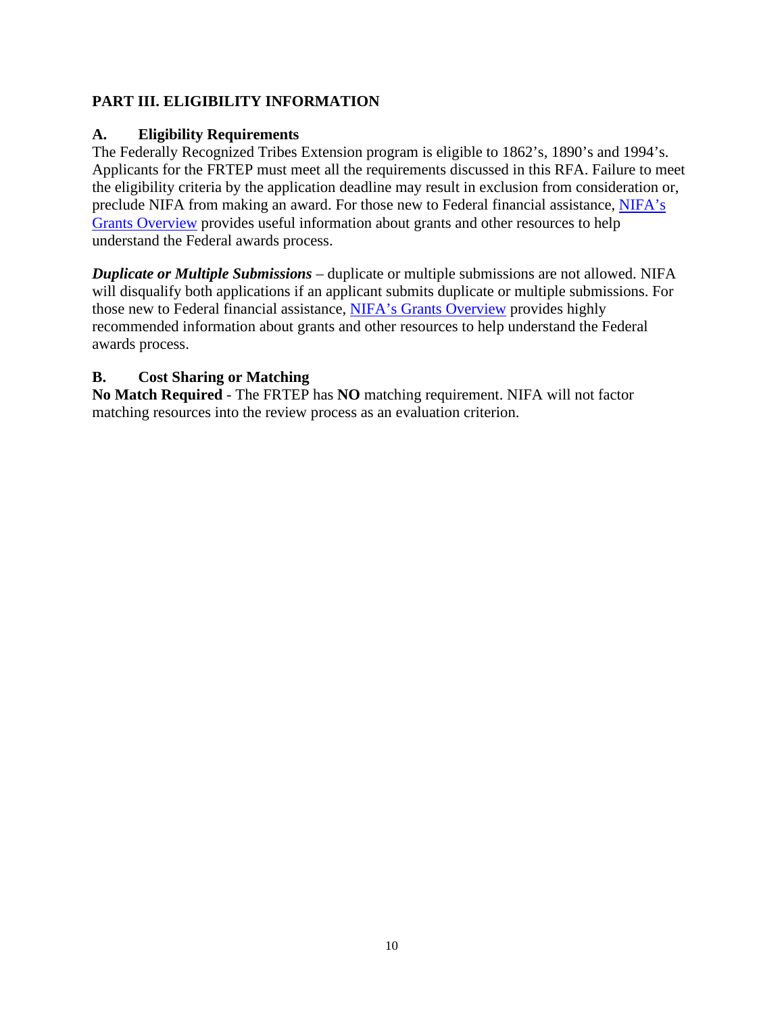## <span id="page-9-0"></span>**PART III. ELIGIBILITY INFORMATION**

#### <span id="page-9-1"></span>**A. Eligibility Requirements**

The Federally Recognized Tribes Extension program is eligible to 1862's, 1890's and 1994's. Applicants for the FRTEP must meet all the requirements discussed in this RFA. Failure to meet the eligibility criteria by the application deadline may result in exclusion from consideration or, preclude NIFA from making an award. For those new to Federal financial assistance, [NIFA's](https://nifa.usda.gov/resource/grants-overview)  [Grants Overview](https://nifa.usda.gov/resource/grants-overview) provides useful information about grants and other resources to help understand the Federal awards process.

*Duplicate or Multiple Submissions* – duplicate or multiple submissions are not allowed. NIFA will disqualify both applications if an applicant submits duplicate or multiple submissions. For those new to Federal financial assistance, [NIFA's Grants Overview](https://nifa.usda.gov/resource/grants-overview) provides highly recommended information about grants and other resources to help understand the Federal awards process.

## <span id="page-9-2"></span>**B. Cost Sharing or Matching**

**No Match Required** - The FRTEP has **NO** matching requirement. NIFA will not factor matching resources into the review process as an evaluation criterion.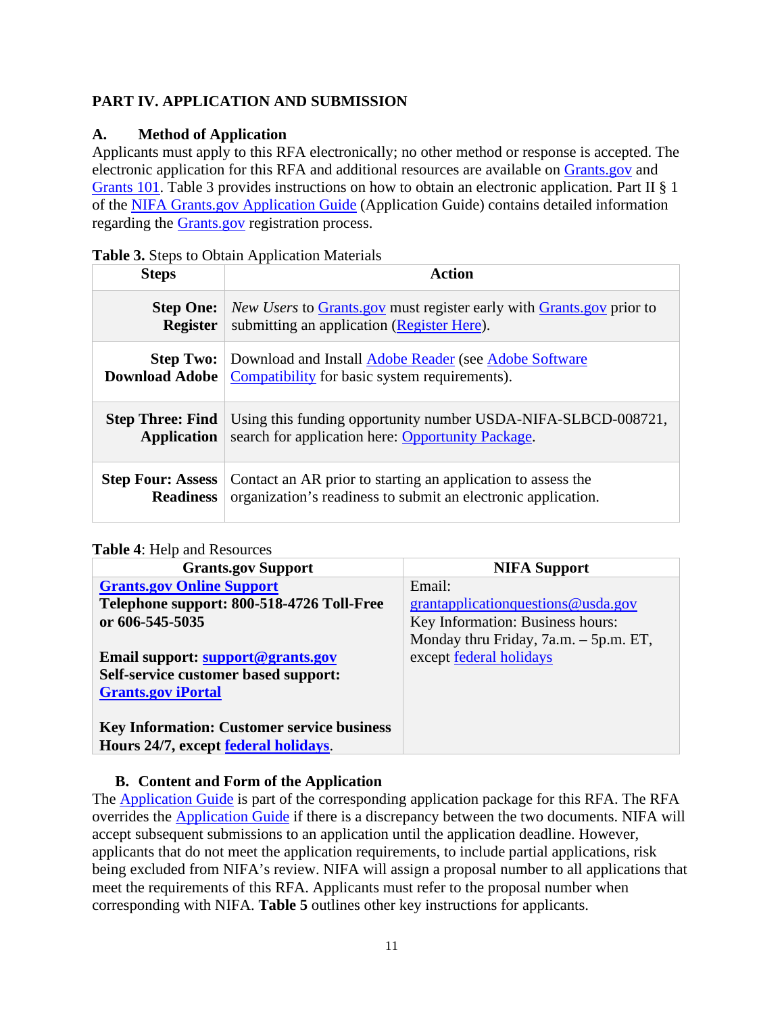## <span id="page-10-0"></span>**PART IV. APPLICATION AND SUBMISSION**

## <span id="page-10-1"></span>**A. Method of Application**

Applicants must apply to this RFA electronically; no other method or response is accepted. The electronic application for this RFA and additional resources are available on [Grants.gov](https://www.grants.gov/) and [Grants 101.](https://www.grants.gov/web/grants/learn-grants/grants-101/pre-award-phase.html/) Table 3 provides instructions on how to obtain an electronic application. Part II § 1 of the [NIFA Grants.gov Application Guide](https://apply07.grants.gov/apply/opportunities/instructions/PKG00249520-instructions.pdf) (Application Guide) contains detailed information regarding the [Grants.gov](https://www.grants.gov/) registration process.

## <span id="page-10-3"></span>**Table 3.** Steps to Obtain Application Materials

| <b>Steps</b>             | <b>Action</b>                                                                                                           |
|--------------------------|-------------------------------------------------------------------------------------------------------------------------|
| <b>Step One:</b>         | <i>New Users</i> to Grants gov must register early with Grants gov prior to                                             |
| <b>Register</b>          | submitting an application (Register Here).                                                                              |
| <b>Download Adobe</b>    | <b>Step Two:</b> Download and Install Adobe Reader (see Adobe Software<br>Compatibility for basic system requirements). |
| <b>Step Three: Find</b>  | Using this funding opportunity number USDA-NIFA-SLBCD-008721,                                                           |
| <b>Application</b>       | search for application here: Opportunity Package.                                                                       |
| <b>Step Four: Assess</b> | Contact an AR prior to starting an application to assess the                                                            |
| <b>Readiness</b>         | organization's readiness to submit an electronic application.                                                           |

#### <span id="page-10-4"></span>**Table 4**: Help and Resources

| <b>Grants.gov Support</b>                         | <b>NIFA Support</b>                   |
|---------------------------------------------------|---------------------------------------|
| <b>Grants.gov Online Support</b>                  | Email:                                |
| Telephone support: 800-518-4726 Toll-Free         | grantapplication questions @ usda.gov |
| or 606-545-5035                                   | Key Information: Business hours:      |
|                                                   | Monday thru Friday, 7a.m. – 5p.m. ET, |
| Email support: support@grants.gov                 | except federal holidays               |
| <b>Self-service customer based support:</b>       |                                       |
| <b>Grants.gov iPortal</b>                         |                                       |
|                                                   |                                       |
| <b>Key Information: Customer service business</b> |                                       |
| Hours 24/7, except federal holidays.              |                                       |

## **B. Content and Form of the Application**

<span id="page-10-2"></span>The [Application Guide](https://apply07.grants.gov/apply/opportunities/instructions/PKG00249520-instructions.pdf) is part of the corresponding application package for this RFA. The RFA overrides the [Application Guide](https://apply07.grants.gov/apply/opportunities/instructions/PKG00249520-instructions.pdf) if there is a discrepancy between the two documents. NIFA will accept subsequent submissions to an application until the application deadline. However, applicants that do not meet the application requirements, to include partial applications, risk being excluded from NIFA's review. NIFA will assign a proposal number to all applications that meet the requirements of this RFA. Applicants must refer to the proposal number when corresponding with NIFA. **Table 5** outlines other key instructions for applicants.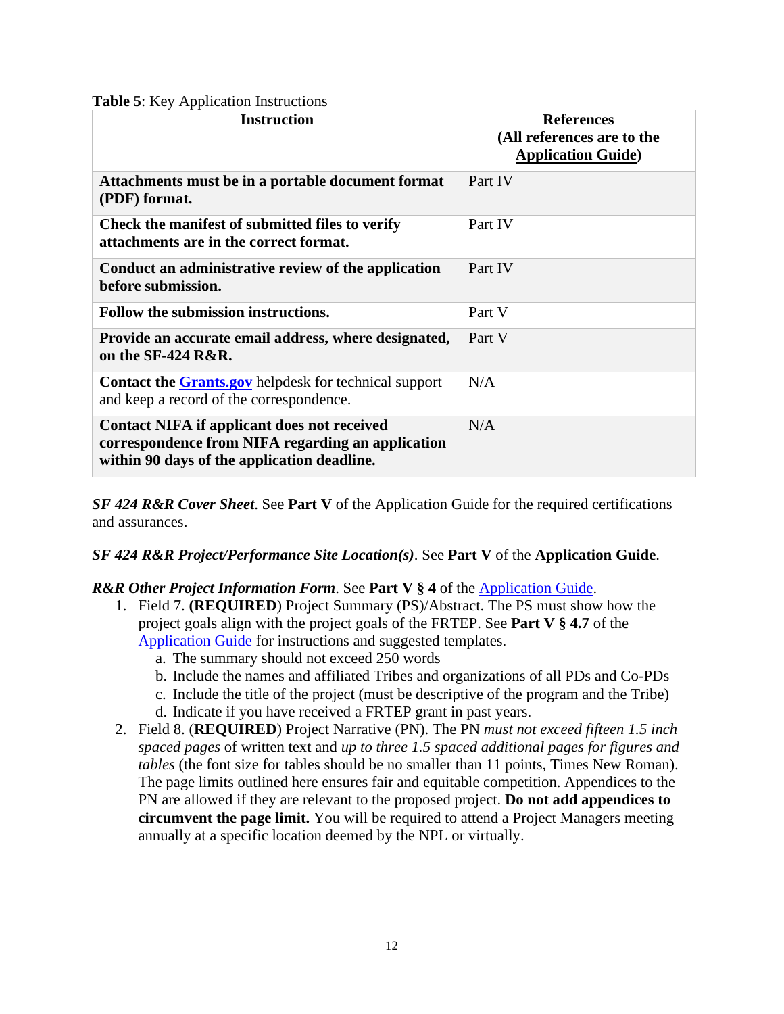<span id="page-11-0"></span>

|  |  |  | <b>Table 5:</b> Key Application Instructions |
|--|--|--|----------------------------------------------|
|--|--|--|----------------------------------------------|

| <b>Instruction</b>                                                                                                                                     | <b>References</b><br>(All references are to the<br><b>Application Guide</b> ) |
|--------------------------------------------------------------------------------------------------------------------------------------------------------|-------------------------------------------------------------------------------|
| Attachments must be in a portable document format<br>(PDF) format.                                                                                     | Part IV                                                                       |
| Check the manifest of submitted files to verify<br>attachments are in the correct format.                                                              | Part IV                                                                       |
| Conduct an administrative review of the application<br>before submission.                                                                              | Part IV                                                                       |
| Follow the submission instructions.                                                                                                                    | Part V                                                                        |
| Provide an accurate email address, where designated,<br>on the $SF-424$ $R\&R$ .                                                                       | Part V                                                                        |
| <b>Contact the Grants.gov</b> helpdesk for technical support<br>and keep a record of the correspondence.                                               | N/A                                                                           |
| <b>Contact NIFA if applicant does not received</b><br>correspondence from NIFA regarding an application<br>within 90 days of the application deadline. | N/A                                                                           |

*SF 424 R&R Cover Sheet*. See **Part V** of the Application Guide for the required certifications and assurances.

#### *SF 424 R&R Project/Performance Site Location(s)*. See **Part V** of the **Application Guide**.

#### *R&R Other Project Information Form*. See **Part V § 4** of the [Application Guide.](https://apply07.grants.gov/apply/opportunities/instructions/PKG00249520-instructions.pdf)

- 1. Field 7. **(REQUIRED**) Project Summary (PS)/Abstract. The PS must show how the project goals align with the project goals of the FRTEP. See **Part V § 4.7** of the [Application Guide](https://apply07.grants.gov/apply/opportunities/instructions/PKG00249520-instructions.pdf) for instructions and suggested templates.
	- a. The summary should not exceed 250 words
	- b. Include the names and affiliated Tribes and organizations of all PDs and Co-PDs
	- c. Include the title of the project (must be descriptive of the program and the Tribe)
	- d. Indicate if you have received a FRTEP grant in past years.
- 2. Field 8. (**REQUIRED**) Project Narrative (PN). The PN *must not exceed fifteen 1.5 inch spaced pages* of written text and *up to three 1.5 spaced additional pages for figures and tables* (the font size for tables should be no smaller than 11 points, Times New Roman). The page limits outlined here ensures fair and equitable competition. Appendices to the PN are allowed if they are relevant to the proposed project. **Do not add appendices to circumvent the page limit.** You will be required to attend a Project Managers meeting annually at a specific location deemed by the NPL or virtually.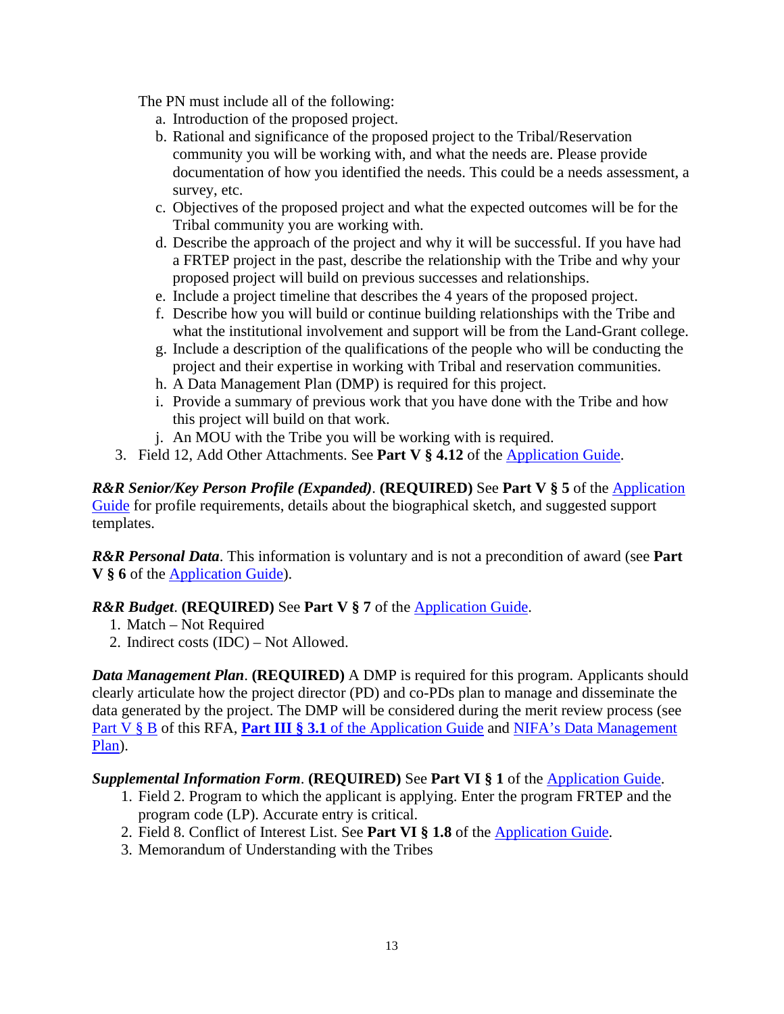The PN must include all of the following:

- a. Introduction of the proposed project.
- b. Rational and significance of the proposed project to the Tribal/Reservation community you will be working with, and what the needs are. Please provide documentation of how you identified the needs. This could be a needs assessment, a survey, etc.
- c. Objectives of the proposed project and what the expected outcomes will be for the Tribal community you are working with.
- d. Describe the approach of the project and why it will be successful. If you have had a FRTEP project in the past, describe the relationship with the Tribe and why your proposed project will build on previous successes and relationships.
- e. Include a project timeline that describes the 4 years of the proposed project.
- f. Describe how you will build or continue building relationships with the Tribe and what the institutional involvement and support will be from the Land-Grant college.
- g. Include a description of the qualifications of the people who will be conducting the project and their expertise in working with Tribal and reservation communities.
- h. A Data Management Plan (DMP) is required for this project.
- i. Provide a summary of previous work that you have done with the Tribe and how this project will build on that work.
- j. An MOU with the Tribe you will be working with is required.
- 3. Field 12, Add Other Attachments. See **Part V § 4.12** of the [Application Guide.](https://apply07.grants.gov/apply/opportunities/instructions/PKG00249520-instructions.pdf)

*R&R Senior/Key Person Profile (Expanded)*. **(REQUIRED)** See **Part V § 5** of the [Application](https://apply07.grants.gov/apply/opportunities/instructions/PKG00249520-instructions.pdf)  [Guide](https://apply07.grants.gov/apply/opportunities/instructions/PKG00249520-instructions.pdf) for profile requirements, details about the biographical sketch, and suggested support templates.

*R&R Personal Data*. This information is voluntary and is not a precondition of award (see **Part V § 6** of the [Application Guide\)](https://apply07.grants.gov/apply/opportunities/instructions/PKG00249520-instructions.pdf).

#### *R&R Budget*. **(REQUIRED)** See **Part V § 7** of the [Application Guide.](https://apply07.grants.gov/apply/opportunities/instructions/PKG00249520-instructions.pdf)

- 1. Match Not Required
- 2. Indirect costs (IDC) Not Allowed.

*Data Management Plan.* (**REQUIRED**) A DMP is required for this program. Applicants should clearly articulate how the project director (PD) and co-PDs plan to manage and disseminate the data generated by the project. The DMP will be considered during the merit review process (see [Part V §](#page-15-0) B of this RFA, **Part III** § 3.1 of the [Application Guide](https://apply07.grants.gov/apply/opportunities/instructions/PKG00249520-instructions.pdf) and NIFA's Data Management [Plan\)](https://nifa.usda.gov/resource/data-management-plan-nifa-funded-research-projects).

#### *Supplemental Information Form*. **(REQUIRED)** See **Part VI § 1** of the [Application Guide.](https://apply07.grants.gov/apply/opportunities/instructions/PKG00249520-instructions.pdf)

- 1. Field 2. Program to which the applicant is applying. Enter the program FRTEP and the program code (LP). Accurate entry is critical.
- 2. Field 8. Conflict of Interest List. See **Part VI § 1.8** of the [Application Guide.](https://apply07.grants.gov/apply/opportunities/instructions/PKG00249520-instructions.pdf)
- 3. Memorandum of Understanding with the Tribes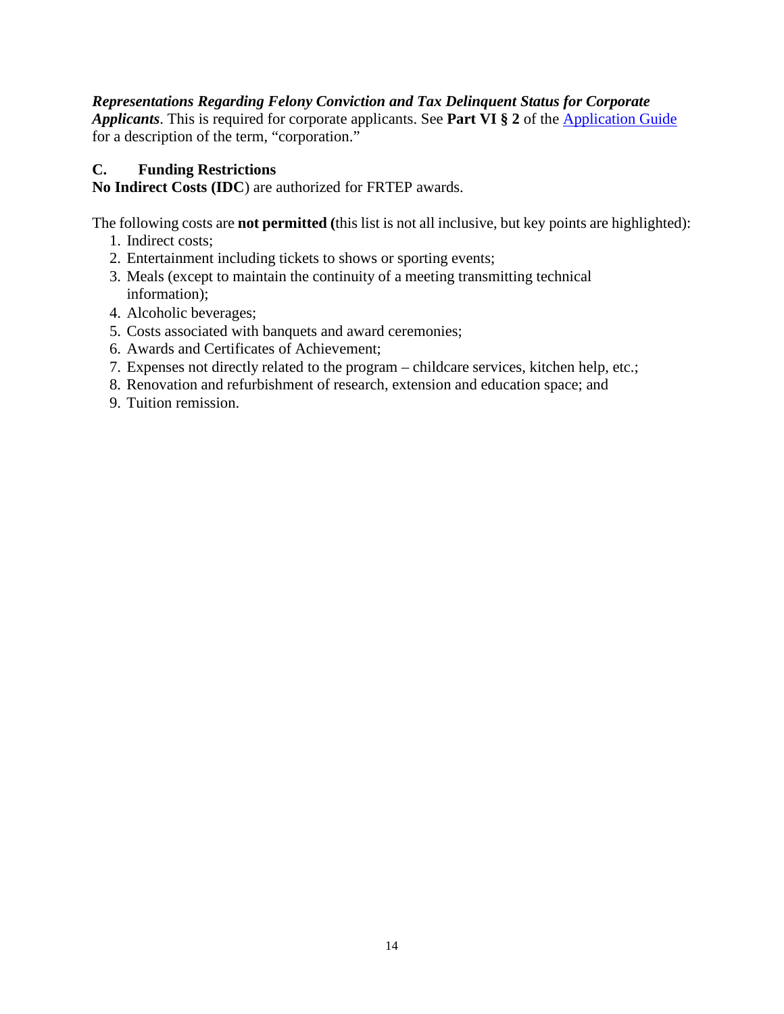#### *Representations Regarding Felony Conviction and Tax Delinquent Status for Corporate*

*Applicants*. This is required for corporate applicants. See **Part VI § 2** of the [Application Guide](https://apply07.grants.gov/apply/opportunities/instructions/PKG00249520-instructions.pdf) for a description of the term, "corporation."

#### <span id="page-13-0"></span>**C. Funding Restrictions**

<span id="page-13-1"></span>**No Indirect Costs (IDC**) are authorized for FRTEP awards.

The following costs are **not permitted (**this list is not all inclusive, but key points are highlighted):

- 1. Indirect costs;
- 2. Entertainment including tickets to shows or sporting events;
- 3. Meals (except to maintain the continuity of a meeting transmitting technical information);
- 4. Alcoholic beverages;
- 5. Costs associated with banquets and award ceremonies;
- 6. Awards and Certificates of Achievement;
- 7. Expenses not directly related to the program childcare services, kitchen help, etc.;
- 8. Renovation and refurbishment of research, extension and education space; and
- 9. Tuition remission.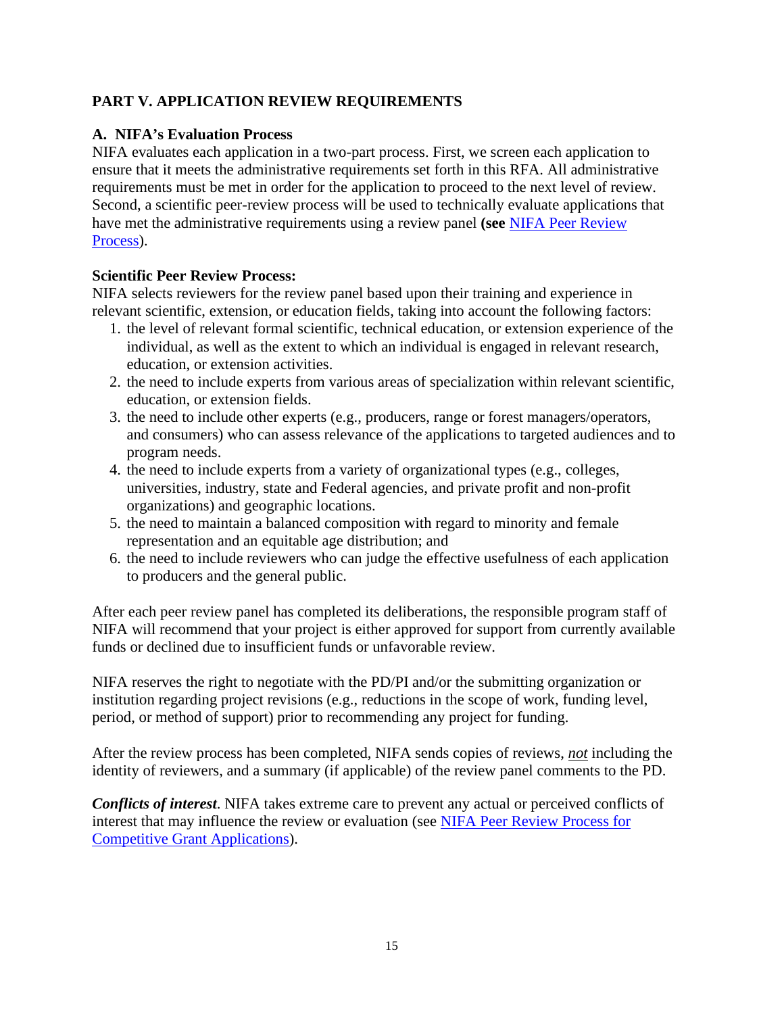## <span id="page-14-0"></span>**PART V. APPLICATION REVIEW REQUIREMENTS**

#### <span id="page-14-1"></span>**A. NIFA's Evaluation Process**

NIFA evaluates each application in a two-part process. First, we screen each application to ensure that it meets the administrative requirements set forth in this RFA. All administrative requirements must be met in order for the application to proceed to the next level of review. Second, a scientific peer-review process will be used to technically evaluate applications that have met the administrative requirements using a review panel **(see** [NIFA Peer Review](https://nifa.usda.gov/sites/default/files/resource/NIFA-Peer-Review-Process-for-Competitive-Grant-Applications_0.pdf)  [Process\)](https://nifa.usda.gov/sites/default/files/resource/NIFA-Peer-Review-Process-for-Competitive-Grant-Applications_0.pdf).

## **Scientific Peer Review Process:**

NIFA selects reviewers for the review panel based upon their training and experience in relevant scientific, extension, or education fields, taking into account the following factors:

- 1. the level of relevant formal scientific, technical education, or extension experience of the individual, as well as the extent to which an individual is engaged in relevant research, education, or extension activities.
- 2. the need to include experts from various areas of specialization within relevant scientific, education, or extension fields.
- 3. the need to include other experts (e.g., producers, range or forest managers/operators, and consumers) who can assess relevance of the applications to targeted audiences and to program needs.
- 4. the need to include experts from a variety of organizational types (e.g., colleges, universities, industry, state and Federal agencies, and private profit and non-profit organizations) and geographic locations.
- 5. the need to maintain a balanced composition with regard to minority and female representation and an equitable age distribution; and
- 6. the need to include reviewers who can judge the effective usefulness of each application to producers and the general public.

After each peer review panel has completed its deliberations, the responsible program staff of NIFA will recommend that your project is either approved for support from currently available funds or declined due to insufficient funds or unfavorable review.

NIFA reserves the right to negotiate with the PD/PI and/or the submitting organization or institution regarding project revisions (e.g., reductions in the scope of work, funding level, period, or method of support) prior to recommending any project for funding.

After the review process has been completed, NIFA sends copies of reviews, *not* including the identity of reviewers, and a summary (if applicable) of the review panel comments to the PD.

*Conflicts of interest*. NIFA takes extreme care to prevent any actual or perceived conflicts of interest that may influence the review or evaluation (see [NIFA Peer Review Process for](https://nifa.usda.gov/resource/nifa-peer-review-process-competitive-grant-applications)  [Competitive Grant Applications\)](https://nifa.usda.gov/resource/nifa-peer-review-process-competitive-grant-applications).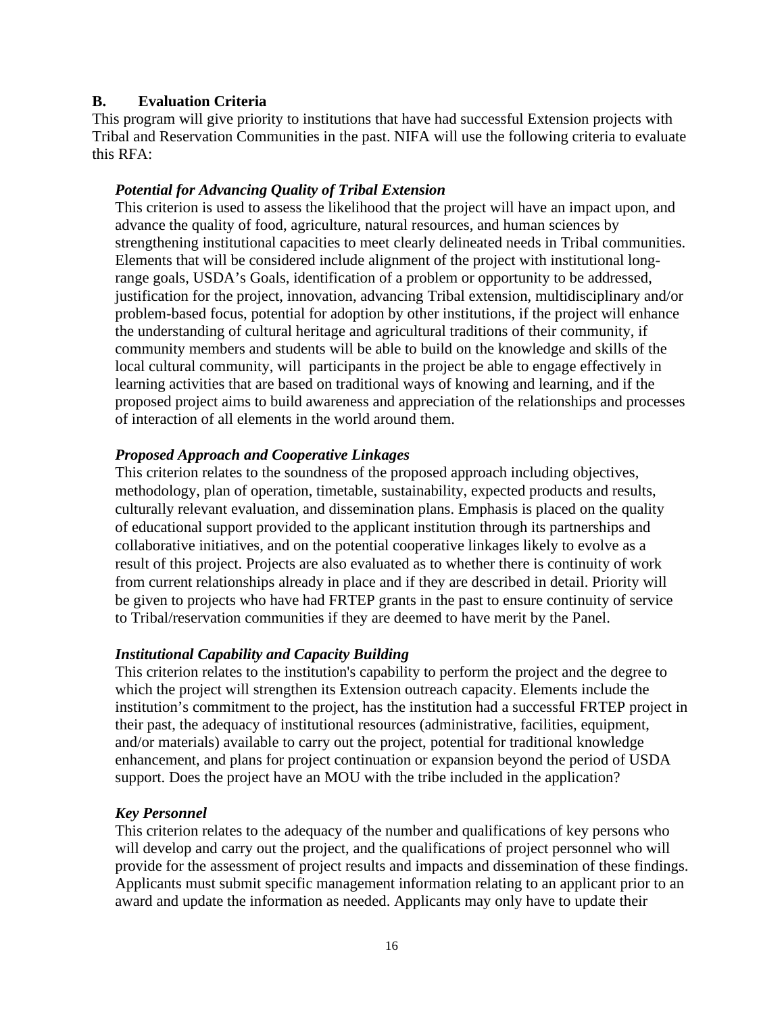#### <span id="page-15-0"></span>**B. Evaluation Criteria**

This program will give priority to institutions that have had successful Extension projects with Tribal and Reservation Communities in the past. NIFA will use the following criteria to evaluate this RFA:

#### *Potential for Advancing Quality of Tribal Extension*

This criterion is used to assess the likelihood that the project will have an impact upon, and advance the quality of food, agriculture, natural resources, and human sciences by strengthening institutional capacities to meet clearly delineated needs in Tribal communities. Elements that will be considered include alignment of the project with institutional longrange goals, USDA's Goals, identification of a problem or opportunity to be addressed, justification for the project, innovation, advancing Tribal extension, multidisciplinary and/or problem-based focus, potential for adoption by other institutions, if the project will enhance the understanding of cultural heritage and agricultural traditions of their community, if community members and students will be able to build on the knowledge and skills of the local cultural community, will participants in the project be able to engage effectively in learning activities that are based on traditional ways of knowing and learning, and if the proposed project aims to build awareness and appreciation of the relationships and processes of interaction of all elements in the world around them.

#### *Proposed Approach and Cooperative Linkages*

This criterion relates to the soundness of the proposed approach including objectives, methodology, plan of operation, timetable, sustainability, expected products and results, culturally relevant evaluation, and dissemination plans. Emphasis is placed on the quality of educational support provided to the applicant institution through its partnerships and collaborative initiatives, and on the potential cooperative linkages likely to evolve as a result of this project. Projects are also evaluated as to whether there is continuity of work from current relationships already in place and if they are described in detail. Priority will be given to projects who have had FRTEP grants in the past to ensure continuity of service to Tribal/reservation communities if they are deemed to have merit by the Panel.

#### *Institutional Capability and Capacity Building*

This criterion relates to the institution's capability to perform the project and the degree to which the project will strengthen its Extension outreach capacity. Elements include the institution's commitment to the project, has the institution had a successful FRTEP project in their past, the adequacy of institutional resources (administrative, facilities, equipment, and/or materials) available to carry out the project, potential for traditional knowledge enhancement, and plans for project continuation or expansion beyond the period of USDA support. Does the project have an MOU with the tribe included in the application?

#### *Key Personnel*

This criterion relates to the adequacy of the number and qualifications of key persons who will develop and carry out the project, and the qualifications of project personnel who will provide for the assessment of project results and impacts and dissemination of these findings. Applicants must submit specific management information relating to an applicant prior to an award and update the information as needed. Applicants may only have to update their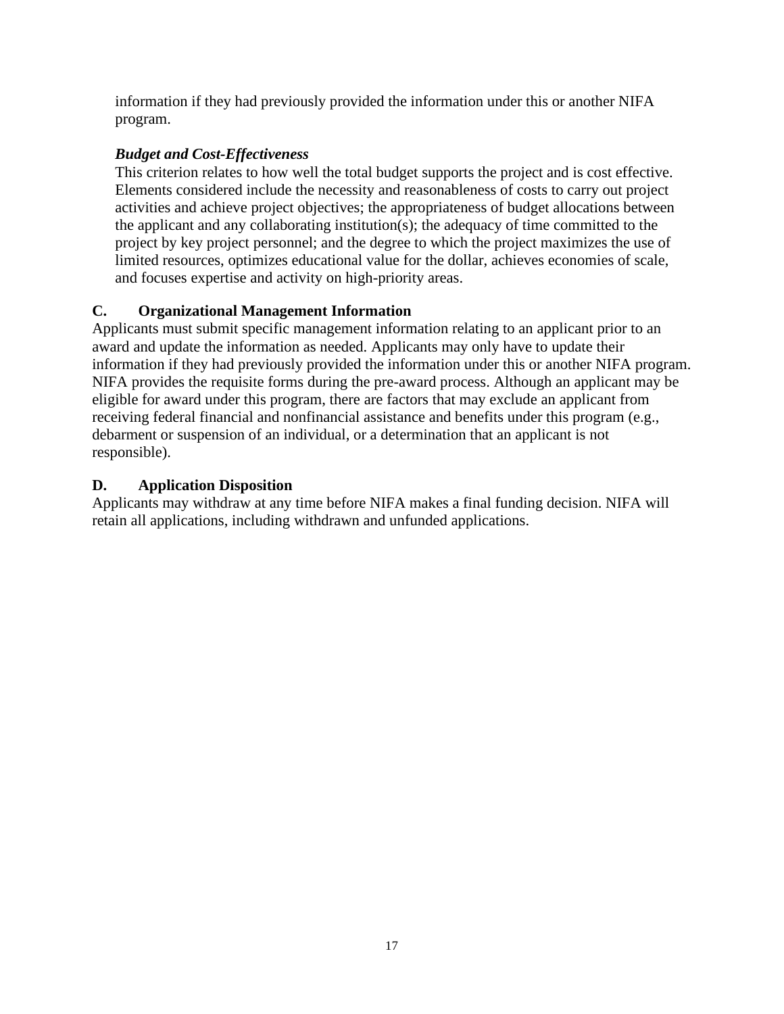information if they had previously provided the information under this or another NIFA program.

# *Budget and Cost-Effectiveness*

This criterion relates to how well the total budget supports the project and is cost effective. Elements considered include the necessity and reasonableness of costs to carry out project activities and achieve project objectives; the appropriateness of budget allocations between the applicant and any collaborating institution(s); the adequacy of time committed to the project by key project personnel; and the degree to which the project maximizes the use of limited resources, optimizes educational value for the dollar, achieves economies of scale, and focuses expertise and activity on high-priority areas.

# <span id="page-16-0"></span>**C. Organizational Management Information**

Applicants must submit specific management information relating to an applicant prior to an award and update the information as needed. Applicants may only have to update their information if they had previously provided the information under this or another NIFA program. NIFA provides the requisite forms during the pre-award process. Although an applicant may be eligible for award under this program, there are factors that may exclude an applicant from receiving federal financial and nonfinancial assistance and benefits under this program (e.g., debarment or suspension of an individual, or a determination that an applicant is not responsible).

# <span id="page-16-1"></span>**D. Application Disposition**

Applicants may withdraw at any time before NIFA makes a final funding decision. NIFA will retain all applications, including withdrawn and unfunded applications.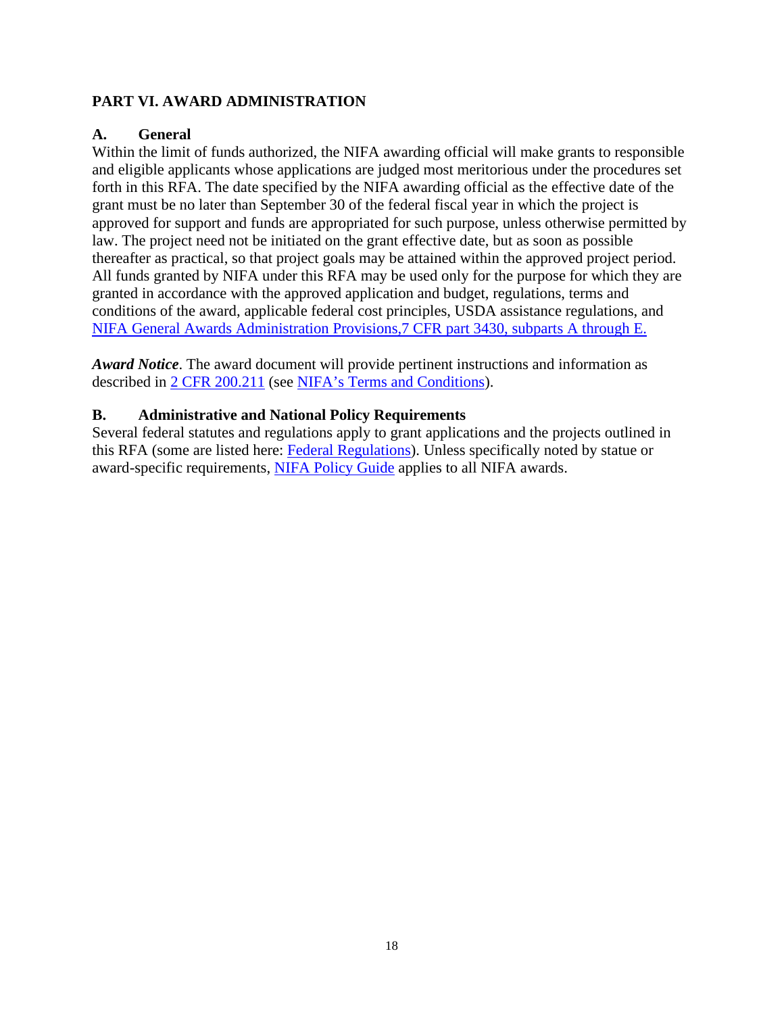#### <span id="page-17-0"></span>**PART VI. AWARD ADMINISTRATION**

#### <span id="page-17-1"></span>**A. General**

Within the limit of funds authorized, the NIFA awarding official will make grants to responsible and eligible applicants whose applications are judged most meritorious under the procedures set forth in this RFA. The date specified by the NIFA awarding official as the effective date of the grant must be no later than September 30 of the federal fiscal year in which the project is approved for support and funds are appropriated for such purpose, unless otherwise permitted by law. The project need not be initiated on the grant effective date, but as soon as possible thereafter as practical, so that project goals may be attained within the approved project period. All funds granted by NIFA under this RFA may be used only for the purpose for which they are granted in accordance with the approved application and budget, regulations, terms and conditions of the award, applicable federal cost principles, USDA assistance regulations, and [NIFA General Awards Administration Provisions,7 CFR part 3430, subparts A through E.](https://www.ecfr.gov/cgi-bin/text-idx?SID=1a74011311d649ff6313ca273791b131&mc=true&node=pt7.15.3430&rgn=div5)

*Award Notice*. The award document will provide pertinent instructions and information as described in [2 CFR 200.211](https://www.ecfr.gov/cgi-bin/retrieveECFR?gp=&SID=c44a1f8f16917d78ba5ba676eac5fdc3&mc=true&r=SECTION&n=se2.1.200_1211) (see [NIFA's Terms and Conditions\)](https://nifa.usda.gov/terms-and-conditions).

#### <span id="page-17-2"></span>**B. Administrative and National Policy Requirements**

Several federal statutes and regulations apply to grant applications and the projects outlined in this RFA (some are listed here: [Federal Regulations\)](https://nifa.usda.gov/federal-regulations). Unless specifically noted by statue or award-specific requirements, [NIFA Policy Guide](https://nifa.usda.gov/policy-guide) applies to all NIFA awards.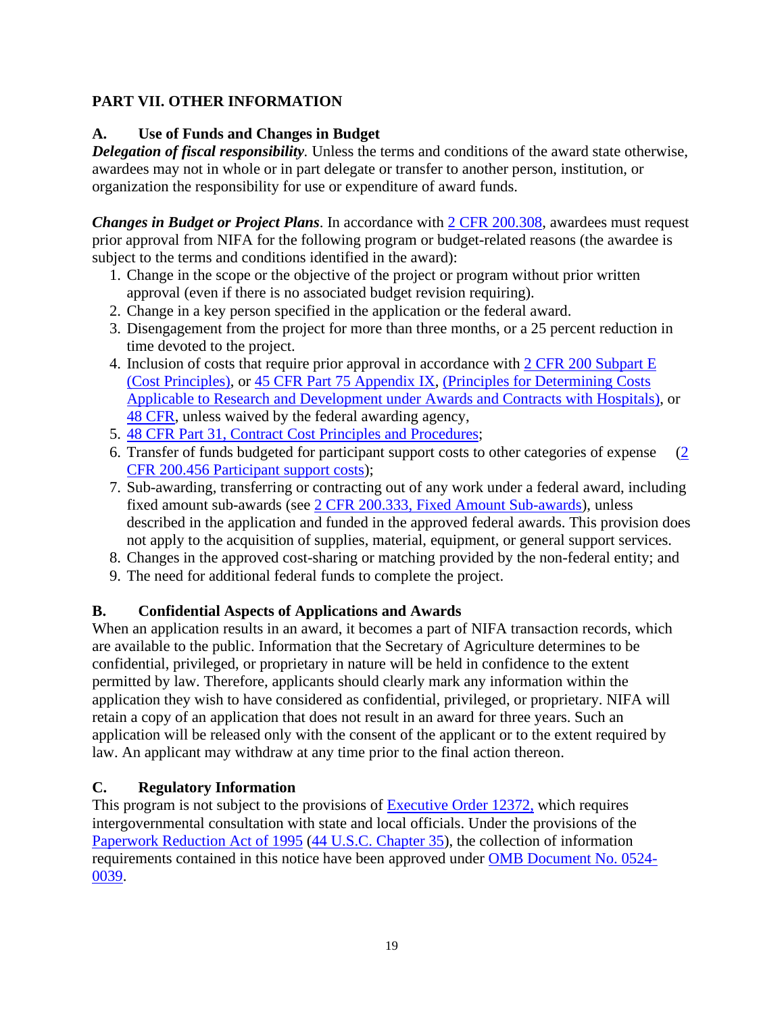## <span id="page-18-0"></span>**PART VII. OTHER INFORMATION**

## <span id="page-18-1"></span>**A. Use of Funds and Changes in Budget**

*Delegation of fiscal responsibility.* Unless the terms and conditions of the award state otherwise, awardees may not in whole or in part delegate or transfer to another person, institution, or organization the responsibility for use or expenditure of award funds.

*Changes in Budget or Project Plans*. In accordance with [2 CFR 200.308,](https://www.ecfr.gov/cgi-bin/text-idx?SID=3af89506559b05297e7d0334cb283e24&mc=true&node=se2.1.200_1308&rgn=div8) awardees must request prior approval from NIFA for the following program or budget-related reasons (the awardee is subject to the terms and conditions identified in the award):

- 1. Change in the scope or the objective of the project or program without prior written approval (even if there is no associated budget revision requiring).
- 2. Change in a key person specified in the application or the federal award.
- 3. Disengagement from the project for more than three months, or a 25 percent reduction in time devoted to the project.
- 4. Inclusion of costs that require prior approval in accordance with [2 CFR 200 Subpart E](https://www.ecfr.gov/cgi-bin/text-idx?SID=dc069d42776cd3451f66232d56026057&mc=true&node=pt2.1.200&rgn=div5#sp2.1.200.e)  [\(Cost Principles\),](https://www.ecfr.gov/cgi-bin/text-idx?SID=dc069d42776cd3451f66232d56026057&mc=true&node=pt2.1.200&rgn=div5#sp2.1.200.e) or [45 CFR Part 75 Appendix IX,](https://www.ecfr.gov/cgi-bin/text-idx?node=pt45.1.75#ap45.1.75_1521.ix) [\(Principles for Determining Costs](https://www.ecfr.gov/cgi-bin/text-idx?node=pt45.1.75#ap45.1.75_1521.ix)  [Applicable to Research and Development under Awards and Contracts with Hospitals\)](https://www.ecfr.gov/cgi-bin/text-idx?node=pt45.1.75#ap45.1.75_1521.ix), or [48 CFR,](https://www.ecfr.gov/cgi-bin/text-idx?SID=4d9d83a5cef52c19c5ff83421fa48a4b&mc=true&tpl=/ecfrbrowse/Title48/48tab_02.tpl) unless waived by the federal awarding agency,
- 5. [48 CFR Part 31, Contract Cost Principles and Procedures;](https://www.ecfr.gov/cgi-bin/text-idx?SID=4d9d83a5cef52c19c5ff83421fa48a4b&mc=true&node=pt48.1.31&rgn=div5)
- 6. Transfer of funds budgeted for participant support costs to other categories of expense  $(2)$ [CFR 200.456 Participant support costs\)](https://www.ecfr.gov/cgi-bin/text-idx?SID=875f7422535a157681c65d5ff44deb32&mc=true&node=pt2.1.200&rgn=div5#se2.1.200_1456);
- 7. Sub-awarding, transferring or contracting out of any work under a federal award, including fixed amount sub-awards (see [2 CFR 200.333, Fixed Amount Sub-awards\)](https://www.ecfr.gov/cgi-bin/text-idx?SID=9eaf9554e1f32bf0d83aca55646e9b7e&mc=true&node=pt2.1.200&rgn=div5#se2.1.200_1333), unless described in the application and funded in the approved federal awards. This provision does not apply to the acquisition of supplies, material, equipment, or general support services.
- 8. Changes in the approved cost-sharing or matching provided by the non-federal entity; and
- 9. The need for additional federal funds to complete the project.

## <span id="page-18-2"></span>**B. Confidential Aspects of Applications and Awards**

When an application results in an award, it becomes a part of NIFA transaction records, which are available to the public. Information that the Secretary of Agriculture determines to be confidential, privileged, or proprietary in nature will be held in confidence to the extent permitted by law. Therefore, applicants should clearly mark any information within the application they wish to have considered as confidential, privileged, or proprietary. NIFA will retain a copy of an application that does not result in an award for three years. Such an application will be released only with the consent of the applicant or to the extent required by law. An applicant may withdraw at any time prior to the final action thereon.

## <span id="page-18-3"></span>**C. Regulatory Information**

This program is not subject to the provisions of [Executive Order 12372,](https://www.fws.gov/policy/library/rgeo12372.pdf) which requires intergovernmental consultation with state and local officials. Under the provisions of the [Paperwork Reduction Act of 1995](https://www.reginfo.gov/public/reginfo/pra.pdf) [\(44 U.S.C. Chapter 35\)](http://uscode.house.gov/view.xhtml?path=/prelim@title44/chapter35&edition=prelim), the collection of information requirements contained in this notice have been approved under [OMB Document No. 0524-](https://www.federalregister.gov/documents/2018/10/29/2018-23552/submission-for-omb-review-comment-request) [0039.](https://www.federalregister.gov/documents/2018/10/29/2018-23552/submission-for-omb-review-comment-request)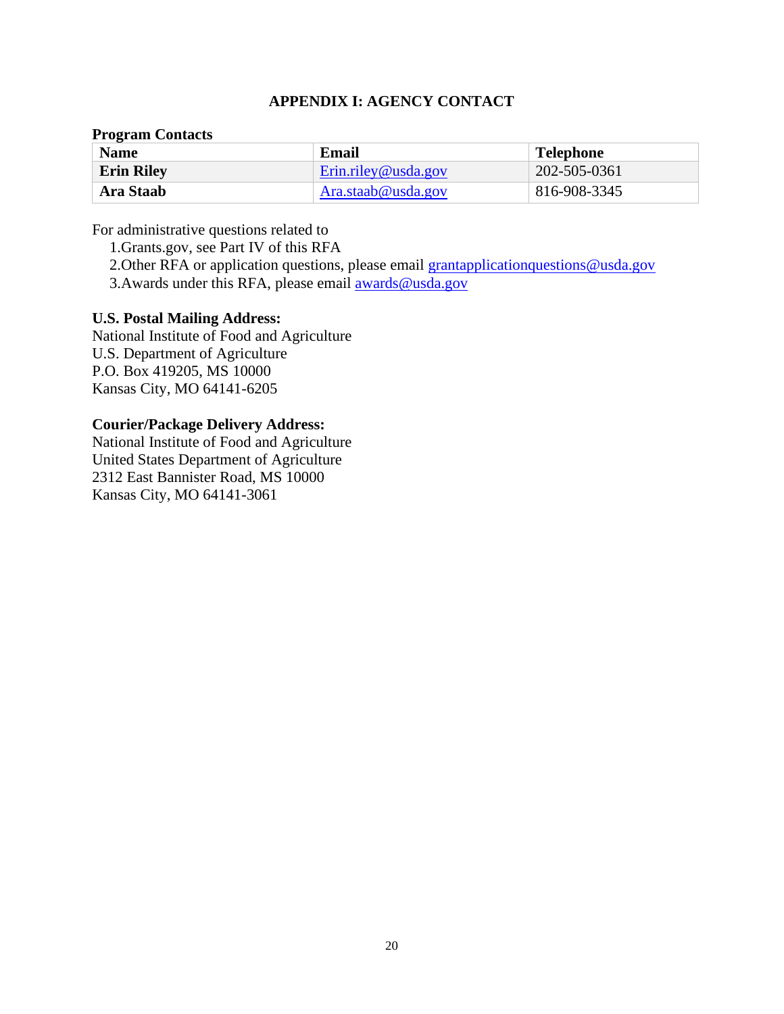#### **APPENDIX I: AGENCY CONTACT**

#### <span id="page-19-0"></span>**Program Contacts**

| <b>Name</b>       | Email               | <b>Telephone</b> |
|-------------------|---------------------|------------------|
| <b>Erin Riley</b> | Erin.riley@usda.gov | 202-505-0361     |
| Ara Staab         | Ara.staab@usda.gov  | 816-908-3345     |

For administrative questions related to

1.Grants.gov, see Part IV of this RFA

2. Other RFA or application questions, please email [grantapplicationquestions@usda.gov](mailto:grantapplicationquestions@usda.gov)

3. Awards under this RFA, please email awards @usda.gov

#### **U.S. Postal Mailing Address:**

National Institute of Food and Agriculture U.S. Department of Agriculture P.O. Box 419205, MS 10000 Kansas City, MO 64141-6205

#### **Courier/Package Delivery Address:**

National Institute of Food and Agriculture United States Department of Agriculture 2312 East Bannister Road, MS 10000 Kansas City, MO 64141-3061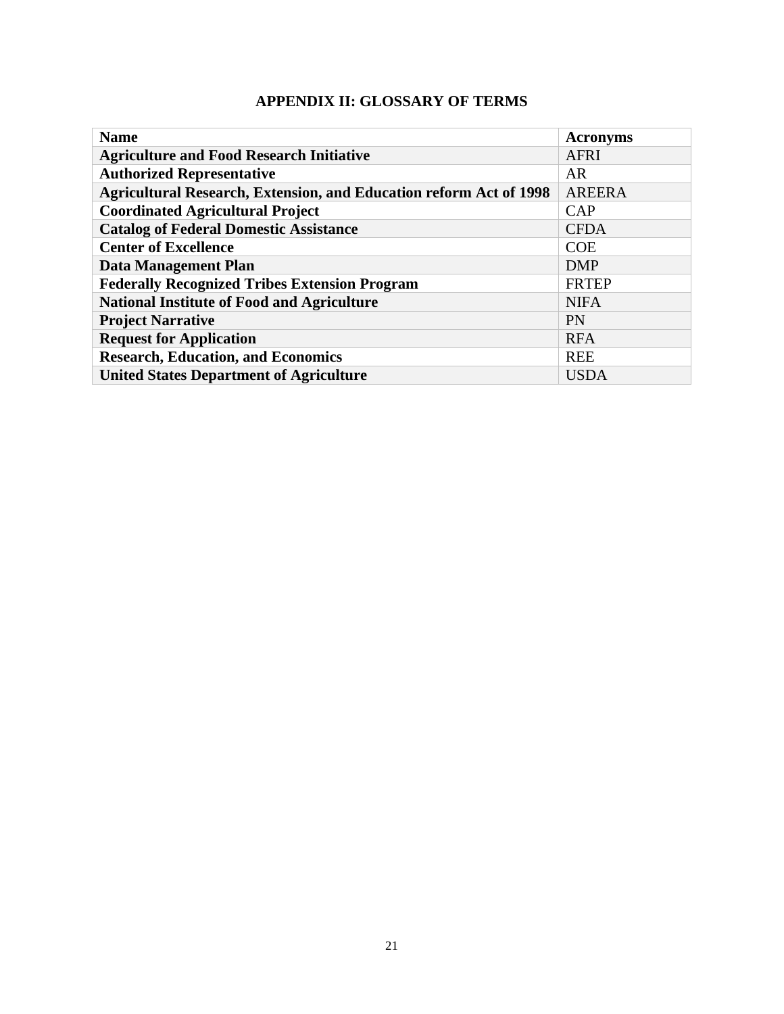# **APPENDIX II: GLOSSARY OF TERMS**

<span id="page-20-0"></span>

| <b>Name</b>                                                               | <b>Acronyms</b> |
|---------------------------------------------------------------------------|-----------------|
| <b>Agriculture and Food Research Initiative</b>                           | <b>AFRI</b>     |
| <b>Authorized Representative</b>                                          | AR              |
| <b>Agricultural Research, Extension, and Education reform Act of 1998</b> | <b>AREERA</b>   |
| <b>Coordinated Agricultural Project</b>                                   | CAP             |
| <b>Catalog of Federal Domestic Assistance</b>                             | <b>CFDA</b>     |
| <b>Center of Excellence</b>                                               | <b>COE</b>      |
| <b>Data Management Plan</b>                                               | <b>DMP</b>      |
| <b>Federally Recognized Tribes Extension Program</b>                      | <b>FRTEP</b>    |
| <b>National Institute of Food and Agriculture</b>                         | <b>NIFA</b>     |
| <b>Project Narrative</b>                                                  | <b>PN</b>       |
| <b>Request for Application</b>                                            | <b>RFA</b>      |
| <b>Research, Education, and Economics</b>                                 | <b>REE</b>      |
| <b>United States Department of Agriculture</b>                            | <b>USDA</b>     |